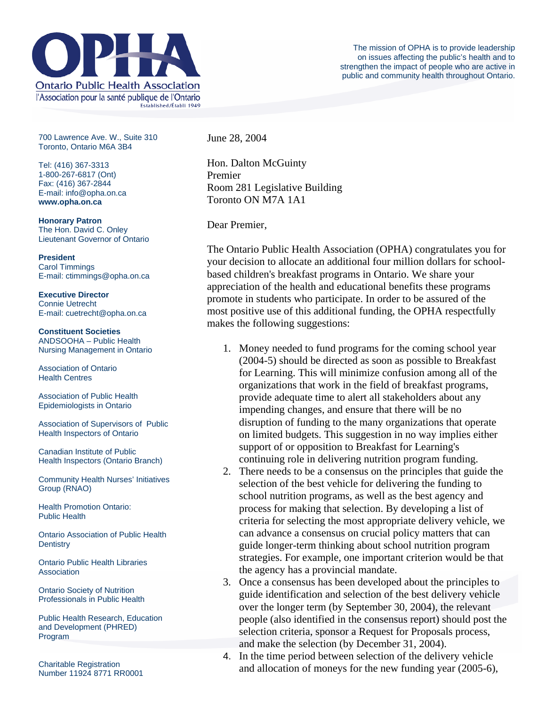

700 Lawrence Ave. W., Suite 310 Toronto, Ontario M6A 3B4

Tel: (416) 367-3313 1-800-267-6817 (Ont) Fax: (416) 367-2844 E-mail: info@opha.on.ca **www.opha.on.ca** 

**Honorary Patron**  The Hon. David C. Onley Lieutenant Governor of Ontario

**President**  Carol Timmings E-mail: ctimmings@opha.on.ca

**Executive Director**  Connie Uetrecht E-mail: cuetrecht@opha.on.ca

**Constituent Societies**  ANDSOOHA – Public Health Nursing Management in Ontario

Association of Ontario Health Centres

Association of Public Health Epidemiologists in Ontario

Association of Supervisors of Public Health Inspectors of Ontario

Canadian Institute of Public Health Inspectors (Ontario Branch)

Community Health Nurses' Initiatives Group (RNAO)

Health Promotion Ontario: Public Health

Ontario Association of Public Health **Dentistry** 

Ontario Public Health Libraries **Association** 

Ontario Society of Nutrition Professionals in Public Health

Public Health Research, Education and Development (PHRED) Program

Charitable Registration Number 11924 8771 RR0001 June 28, 2004

Hon. Dalton McGuinty Premier Room 281 Legislative Building Toronto ON M7A 1A1

Dear Premier,

The Ontario Public Health Association (OPHA) congratulates you for your decision to allocate an additional four million dollars for schoolbased children's breakfast programs in Ontario. We share your appreciation of the health and educational benefits these programs promote in students who participate. In order to be assured of the most positive use of this additional funding, the OPHA respectfully makes the following suggestions:

- 1. Money needed to fund programs for the coming school year (2004-5) should be directed as soon as possible to Breakfast for Learning. This will minimize confusion among all of the organizations that work in the field of breakfast programs, provide adequate time to alert all stakeholders about any impending changes, and ensure that there will be no disruption of funding to the many organizations that operate on limited budgets. This suggestion in no way implies either support of or opposition to Breakfast for Learning's continuing role in delivering nutrition program funding.
- 2. There needs to be a consensus on the principles that guide the selection of the best vehicle for delivering the funding to school nutrition programs, as well as the best agency and process for making that selection. By developing a list of criteria for selecting the most appropriate delivery vehicle, we can advance a consensus on crucial policy matters that can guide longer-term thinking about school nutrition program strategies. For example, one important criterion would be that the agency has a provincial mandate.
- 3. Once a consensus has been developed about the principles to guide identification and selection of the best delivery vehicle over the longer term (by September 30, 2004), the relevant people (also identified in the consensus report) should post the selection criteria, sponsor a Request for Proposals process, and make the selection (by December 31, 2004).
- 4. In the time period between selection of the delivery vehicle and allocation of moneys for the new funding year (2005-6),